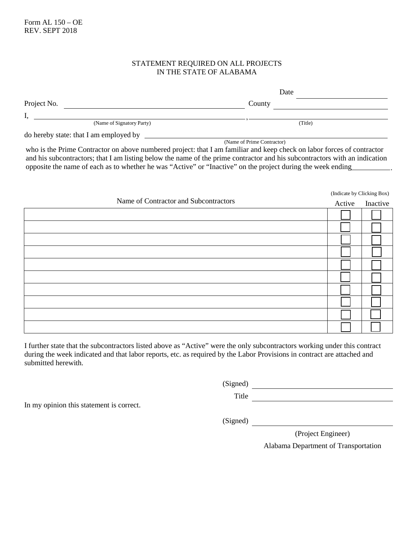## STATEMENT REQUIRED ON ALL PROJECTS IN THE STATE OF ALABAMA

|                                        | Date                                                                                                                   |
|----------------------------------------|------------------------------------------------------------------------------------------------------------------------|
| Project No.                            | County                                                                                                                 |
|                                        |                                                                                                                        |
| (Name of Signatory Party)              | (Title)                                                                                                                |
| do hereby state: that I am employed by |                                                                                                                        |
|                                        | (Name of Prime Contractor)                                                                                             |
|                                        | who is the Prime Contractor on above numbered project: that I am familiar and keep check on labor forces of contractor |

who is the Prime Contractor on above numbered project: that I am familiar and keep check on labor forces of contractor and his subcontractors; that I am listing below the name of the prime contractor and his subcontractors with an indication opposite the name of each as to whether he was "Active" or "Inactive" on the project during the week ending .

|                                       |        | (Indicate by Clicking Box) |  |
|---------------------------------------|--------|----------------------------|--|
| Name of Contractor and Subcontractors | Active | Inactive                   |  |
|                                       |        |                            |  |
|                                       |        |                            |  |
|                                       |        |                            |  |
|                                       |        |                            |  |
|                                       |        |                            |  |
|                                       |        |                            |  |
|                                       |        |                            |  |
|                                       |        |                            |  |
|                                       |        |                            |  |
|                                       |        |                            |  |

I further state that the subcontractors listed above as "Active" were the only subcontractors working under this contract during the week indicated and that labor reports, etc. as required by the Labor Provisions in contract are attached and submitted herewith.

(Signed)

Title

In my opinion this statement is correct.

(Signed)

(Project Engineer)

Alabama Department of Transportation